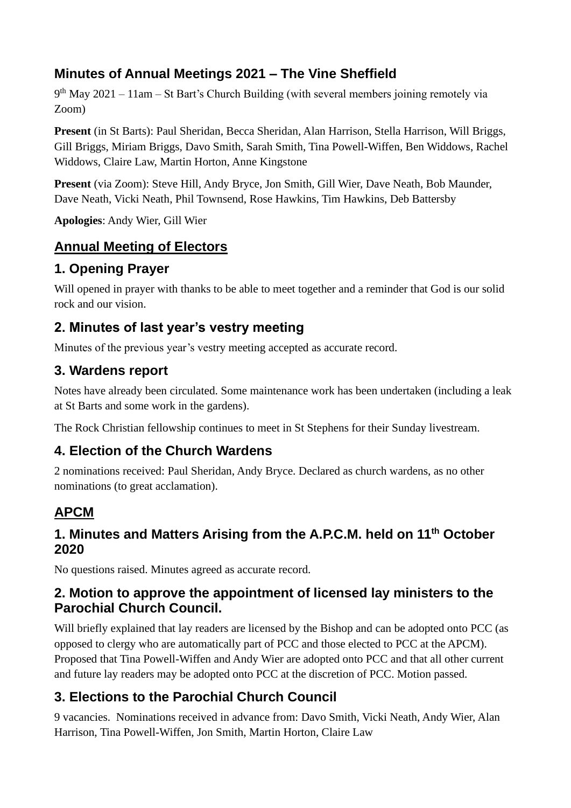## **Minutes of Annual Meetings 2021 – The Vine Sheffield**

9<sup>th</sup> May 2021 – 11am – St Bart's Church Building (with several members joining remotely via Zoom)

**Present** (in St Barts): Paul Sheridan, Becca Sheridan, Alan Harrison, Stella Harrison, Will Briggs, Gill Briggs, Miriam Briggs, Davo Smith, Sarah Smith, Tina Powell-Wiffen, Ben Widdows, Rachel Widdows, Claire Law, Martin Horton, Anne Kingstone

**Present** (via Zoom): Steve Hill, Andy Bryce, Jon Smith, Gill Wier, Dave Neath, Bob Maunder, Dave Neath, Vicki Neath, Phil Townsend, Rose Hawkins, Tim Hawkins, Deb Battersby

**Apologies**: Andy Wier, Gill Wier

# **Annual Meeting of Electors**

## **1. Opening Prayer**

Will opened in prayer with thanks to be able to meet together and a reminder that God is our solid rock and our vision.

#### **2. Minutes of last year's vestry meeting**

Minutes of the previous year's vestry meeting accepted as accurate record.

#### **3. Wardens report**

Notes have already been circulated. Some maintenance work has been undertaken (including a leak at St Barts and some work in the gardens).

The Rock Christian fellowship continues to meet in St Stephens for their Sunday livestream.

#### **4. Election of the Church Wardens**

2 nominations received: Paul Sheridan, Andy Bryce. Declared as church wardens, as no other nominations (to great acclamation).

# **APCM**

#### **1. Minutes and Matters Arising from the A.P.C.M. held on 11th October 2020**

No questions raised. Minutes agreed as accurate record.

#### **2. Motion to approve the appointment of licensed lay ministers to the Parochial Church Council.**

Will briefly explained that lay readers are licensed by the Bishop and can be adopted onto PCC (as opposed to clergy who are automatically part of PCC and those elected to PCC at the APCM). Proposed that Tina Powell-Wiffen and Andy Wier are adopted onto PCC and that all other current and future lay readers may be adopted onto PCC at the discretion of PCC. Motion passed.

# **3. Elections to the Parochial Church Council**

9 vacancies. Nominations received in advance from: Davo Smith, Vicki Neath, Andy Wier, Alan Harrison, Tina Powell-Wiffen, Jon Smith, Martin Horton, Claire Law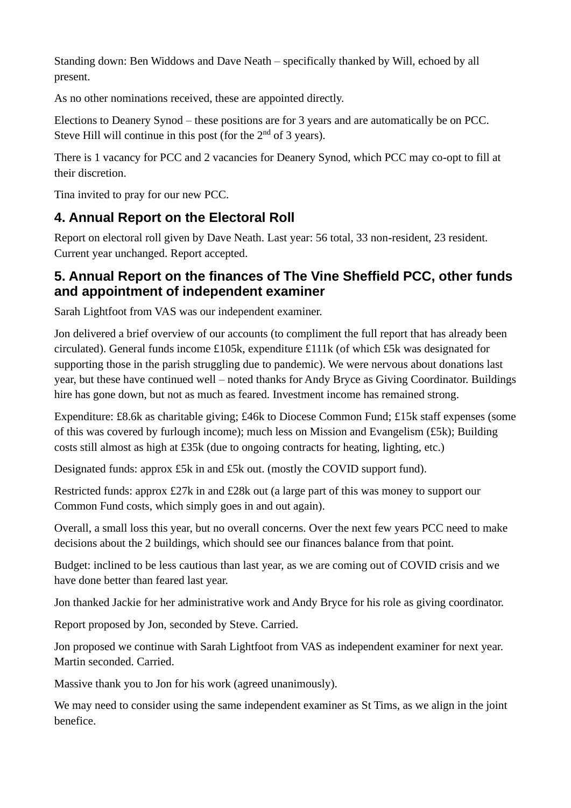Standing down: Ben Widdows and Dave Neath – specifically thanked by Will, echoed by all present.

As no other nominations received, these are appointed directly.

Elections to Deanery Synod – these positions are for 3 years and are automatically be on PCC. Steve Hill will continue in this post (for the  $2<sup>nd</sup>$  of 3 years).

There is 1 vacancy for PCC and 2 vacancies for Deanery Synod, which PCC may co-opt to fill at their discretion.

Tina invited to pray for our new PCC.

#### **4. Annual Report on the Electoral Roll**

Report on electoral roll given by Dave Neath. Last year: 56 total, 33 non-resident, 23 resident. Current year unchanged. Report accepted.

#### **5. Annual Report on the finances of The Vine Sheffield PCC, other funds and appointment of independent examiner**

Sarah Lightfoot from VAS was our independent examiner.

Jon delivered a brief overview of our accounts (to compliment the full report that has already been circulated). General funds income £105k, expenditure £111k (of which £5k was designated for supporting those in the parish struggling due to pandemic). We were nervous about donations last year, but these have continued well – noted thanks for Andy Bryce as Giving Coordinator. Buildings hire has gone down, but not as much as feared. Investment income has remained strong.

Expenditure: £8.6k as charitable giving; £46k to Diocese Common Fund; £15k staff expenses (some of this was covered by furlough income); much less on Mission and Evangelism (£5k); Building costs still almost as high at £35k (due to ongoing contracts for heating, lighting, etc.)

Designated funds: approx £5k in and £5k out. (mostly the COVID support fund).

Restricted funds: approx £27k in and £28k out (a large part of this was money to support our Common Fund costs, which simply goes in and out again).

Overall, a small loss this year, but no overall concerns. Over the next few years PCC need to make decisions about the 2 buildings, which should see our finances balance from that point.

Budget: inclined to be less cautious than last year, as we are coming out of COVID crisis and we have done better than feared last year.

Jon thanked Jackie for her administrative work and Andy Bryce for his role as giving coordinator.

Report proposed by Jon, seconded by Steve. Carried.

Jon proposed we continue with Sarah Lightfoot from VAS as independent examiner for next year. Martin seconded. Carried.

Massive thank you to Jon for his work (agreed unanimously).

We may need to consider using the same independent examiner as St Tims, as we align in the joint benefice.